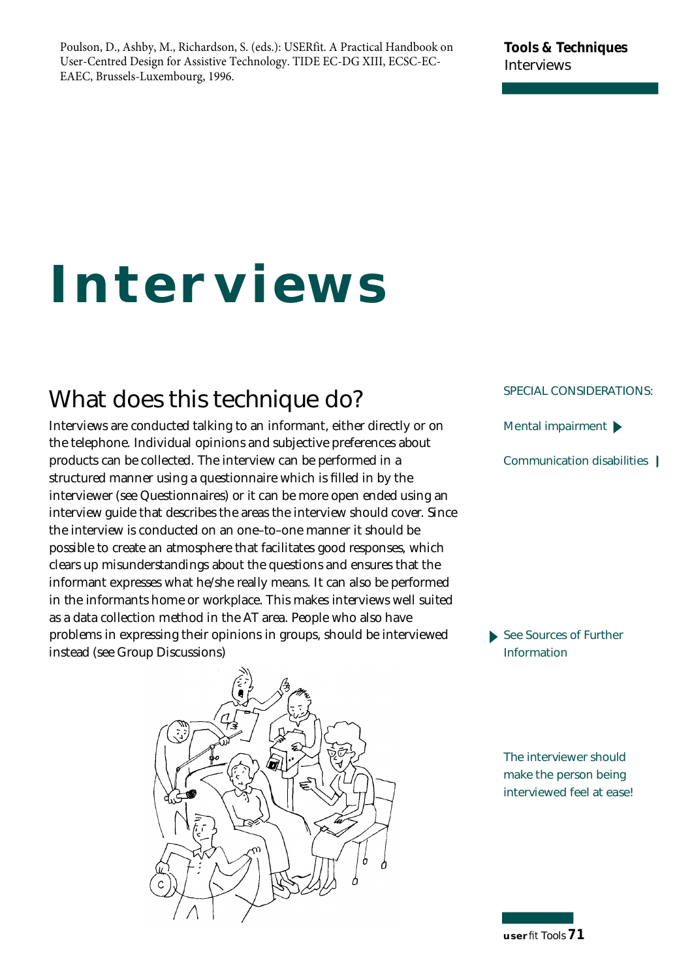#### **Tools & Techniques Interviews**

# **Interviews**

# **What does this technique do?**

Interviews are conducted talking to an informant, either directly or on the telephone. Individual opinions and subjective preferences about products can be collected. The interview can be performed in a structured manner using a questionnaire which is filled in by the interviewer (see Questionnaires) or it can be more open ended using an interview guide that describes the areas the interview should cover. Since the interview is conducted on an one–to–one manner it should be possible to create an atmosphere that facilitates good responses, which clears up misunderstandings about the questions and ensures that the informant expresses what he/she really means. It can also be performed in the informants home or workplace. This makes interviews well suited as a data collection method in the AT area. People who also have problems in expressing their opinions in groups, should be interviewed instead (see Group Discussions)



#### **SPECIAL CONSIDERATIONS:**

**Mental impairment**

**Communication disabilities**

**See Sources of Further Information** 

**The interviewer should make the person being interviewed feel at ease!**

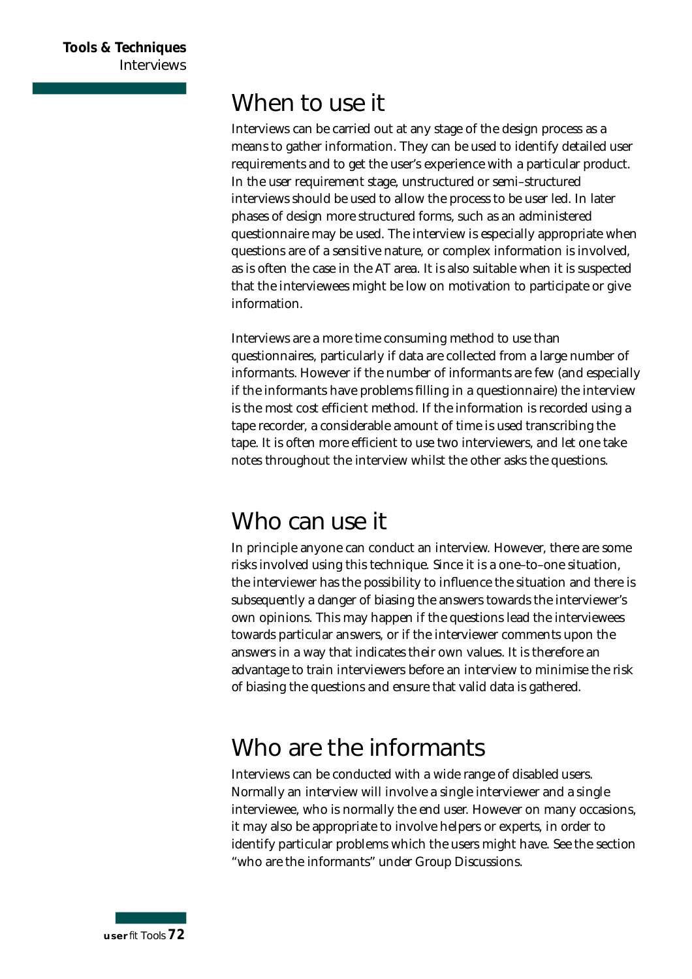## **When to use it**

Interviews can be carried out at any stage of the design process as a means to gather information. They can be used to identify detailed user requirements and to get the user's experience with a particular product. In the user requirement stage, unstructured or semi-structured interviews should be used to allow the process to be user led. In later phases of design more structured forms, such as an administered questionnaire may be used. The interview is especially appropriate when questions are of a sensitive nature, or complex information is involved, as is often the case in the AT area. It is also suitable when it is suspected that the interviewees might be low on motivation to participate or give information.

Interviews are a more time consuming method to use than questionnaires, particularly if data are collected from a large number of informants. However if the number of informants are few (and especially if the informants have problems filling in a questionnaire) the interview is the most cost efficient method. If the information is recorded using a tape recorder, a considerable amount of time is used transcribing the tape. It is often more efficient to use two interviewers, and let one take notes throughout the interview whilst the other asks the questions.

## **Who can use it**

In principle anyone can conduct an interview. However, there are some risks involved using this technique. Since it is a one–to–one situation, the interviewer has the possibility to influence the situation and there is subsequently a danger of biasing the answers towards the interviewer's own opinions. This may happen if the questions lead the interviewees towards particular answers, or if the interviewer comments upon the answers in a way that indicates their own values. It is therefore an advantage to train interviewers before an interview to minimise the risk of biasing the questions and ensure that valid data is gathered.

## **Who are the informants**

Interviews can be conducted with a wide range of disabled users. Normally an interview will involve a single interviewer and a single interviewee, who is normally the end user. However on many occasions, it may also be appropriate to involve helpers or experts, in order to identify particular problems which the users might have. See the section "who are the informants" under Group Discussions.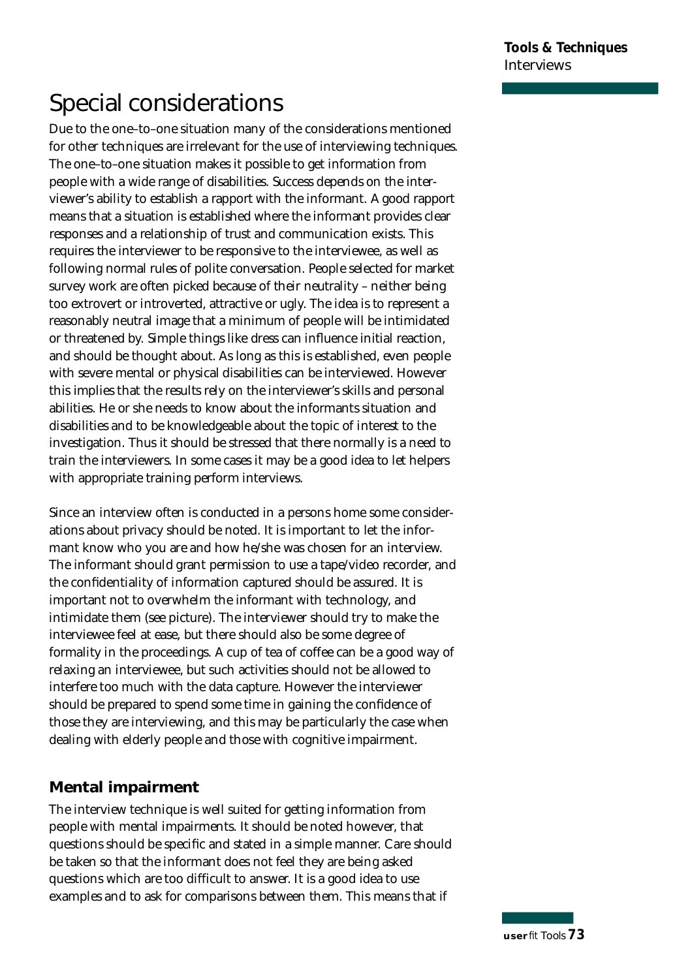# **Special considerations**

Due to the one–to–one situation many of the considerations mentioned for other techniques are irrelevant for the use of interviewing techniques. The one-to-one situation makes it possible to get information from people with a wide range of disabilities. Success depends on the interviewer's ability to establish a rapport with the informant. A good rapport means that a situation is established where the informant provides clear responses and a relationship of trust and communication exists. This requires the interviewer to be responsive to the interviewee, as well as following normal rules of polite conversation. People selected for market survey work are often picked because of their neutrality - neither being too extrovert or introverted, attractive or ugly. The idea is to represent a reasonably neutral image that a minimum of people will be intimidated or threatened by. Simple things like dress can influence initial reaction, and should be thought about. As long as this is established, even people with severe mental or physical disabilities can be interviewed. However this implies that the results rely on the interviewer's skills and personal abilities. He or she needs to know about the informants situation and disabilities and to be knowledgeable about the topic of interest to the investigation. Thus it should be stressed that there normally is a need to train the interviewers. In some cases it may be a good idea to let helpers with appropriate training perform interviews.

Since an interview often is conducted in a persons home some considerations about privacy should be noted. It is important to let the informant know who you are and how he/she was chosen for an interview. The informant should grant permission to use a tape/video recorder, and the confidentiality of information captured should be assured. It is important not to overwhelm the informant with technology, and intimidate them (see picture). The interviewer should try to make the interviewee feel at ease, but there should also be some degree of formality in the proceedings. A cup of tea of coffee can be a good way of relaxing an interviewee, but such activities should not be allowed to interfere too much with the data capture. However the interviewer should be prepared to spend some time in gaining the confidence of those they are interviewing, and this may be particularly the case when dealing with elderly people and those with cognitive impairment.

## **Mental impairment**

The interview technique is well suited for getting information from people with mental impairments. It should be noted however, that questions should be specific and stated in a simple manner. Care should be taken so that the informant does not feel they are being asked questions which are too difficult to answer. It is a good idea to use examples and to ask for comparisons between them. This means that if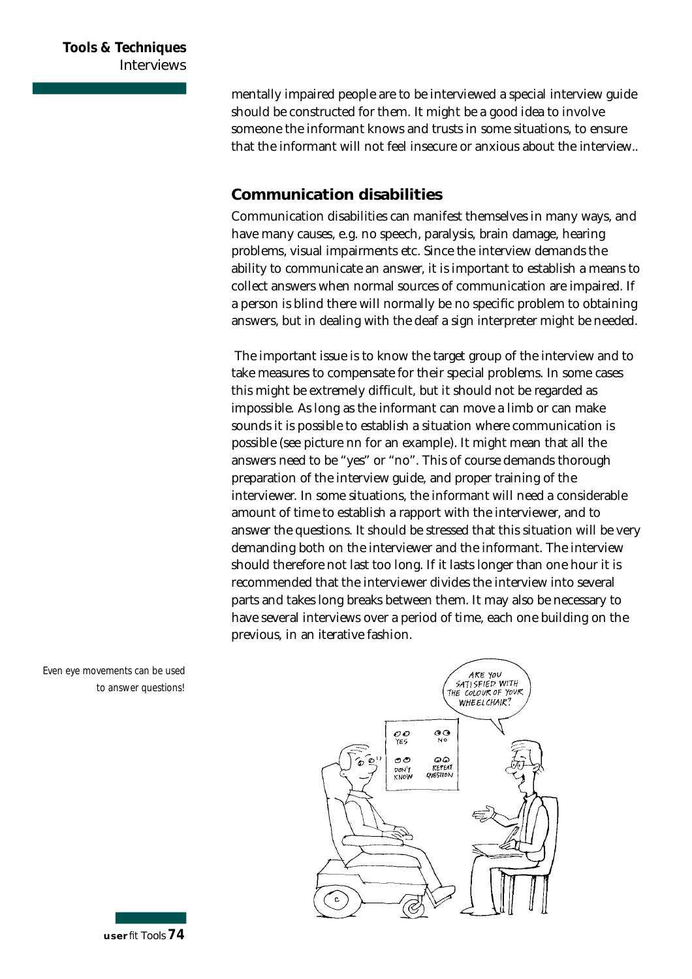mentally impaired people are to be interviewed a special interview guide should be constructed for them. It might be a good idea to involve someone the informant knows and trusts in some situations, to ensure that the informant will not feel insecure or anxious about the interview..

#### **Communication disabilities**

Communication disabilities can manifest themselves in many ways, and have many causes, e.g. no speech, paralysis, brain damage, hearing p roblems, visual impairments etc. Since the interview demands the ability to communicate an answer, it is important to establish a means to collect answers when normal sources of communication are impaired. If a person is blind there will normally be no specific problem to obtaining answers, but in dealing with the deaf a sign interpreter might be needed.

The important issue is to know the target group of the interview and to take measures to compensate for their special problems. In some cases this might be extremely difficult, but it should not be regarded as impossible. As long as the informant can move a limb or can make sounds it is possible to establish a situation where communication is possible (see picture nn for an example). It might mean that all the answers need to be "yes" or "no". This of course demands thorough p reparation of the interview guide, and proper training of the interviewer. In some situations, the informant will need a considerable amount of time to establish a rapport with the interviewer, and to answer the questions. It should be stressed that this situation will be very demanding both on the interviewer and the informant. The interview should therefore not last too long. If it lasts longer than one hour it is recommended that the interviewer divides the interview into several parts and takes long breaks between them. It may also be necessary to have several interviews over a period of time, each one building on the previous, in an iterative fashion.



Even eye movements can be used to answer questions!

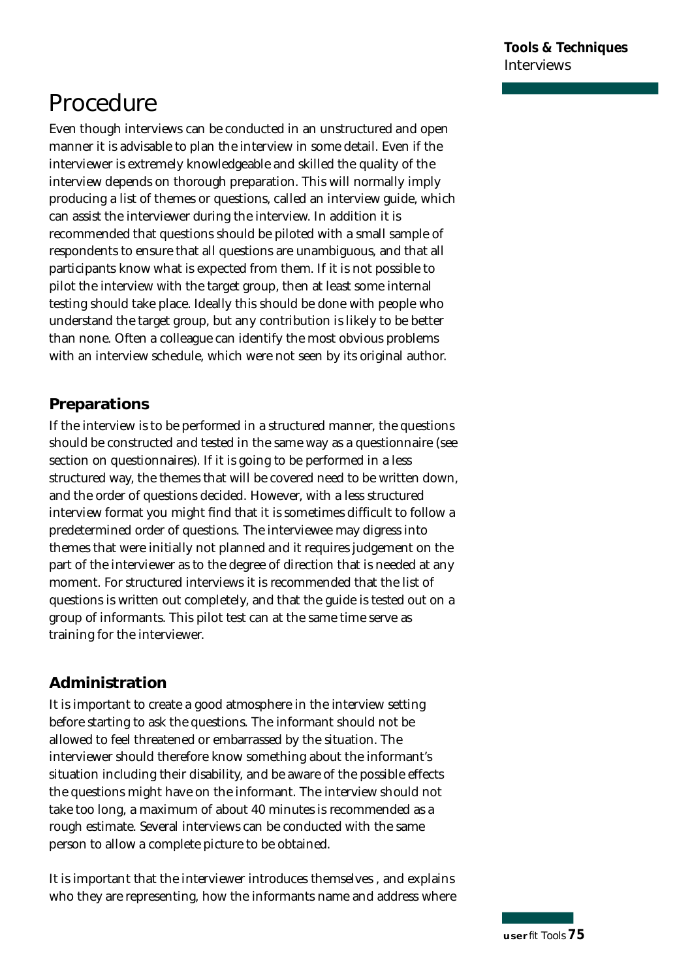# **Procedure**

Even though interviews can be conducted in an unstructured and open manner it is advisable to plan the interview in some detail. Even if the interviewer is extremely knowledgeable and skilled the quality of the interview depends on thorough preparation. This will normally imply p roducing a list of themes or questions, called an interview guide, which can assist the interviewer during the interview. In addition it is recommended that questions should be piloted with a small sample of respondents to ensure that all questions are unambiguous, and that all participants know what is expected from them. If it is not possible to pilot the interview with the target group, then at least some internal testing should take place. Ideally this should be done with people who understand the target group, but any contribution is likely to be better than none. Often a colleague can identify the most obvious problems with an interview schedule, which were not seen by its original author.

## **Preparations**

If the interview is to be performed in a structured manner, the questions should be constructed and tested in the same way as a questionnaire (see section on questionnaires). If it is going to be performed in a less structured way, the themes that will be covered need to be written down, and the order of questions decided. However, with a less structured interview format you might find that it is sometimes difficult to follow a predetermined order of questions. The interviewee may digress into themes that were initially not planned and it requires judgement on the part of the interviewer as to the degree of direction that is needed at any moment. For structured interviews it is recommended that the list of questions is written out completely, and that the guide is tested out on a group of informants. This pilot test can at the same time serve as training for the interviewer.

## **Administration**

It is important to create a good atmosphere in the interview setting before starting to ask the questions. The informant should not be allowed to feel threatened or embarrassed by the situation. The interviewer should therefore know something about the informant's situation including their disability, and be aware of the possible effects the questions might have on the informant. The interview should not take too long, a maximum of about 40 minutes is recommended as a rough estimate. Several interviews can be conducted with the same person to allow a complete picture to be obtained.

It is important that the interviewer introduces themselves , and explains who they are representing, how the informants name and address where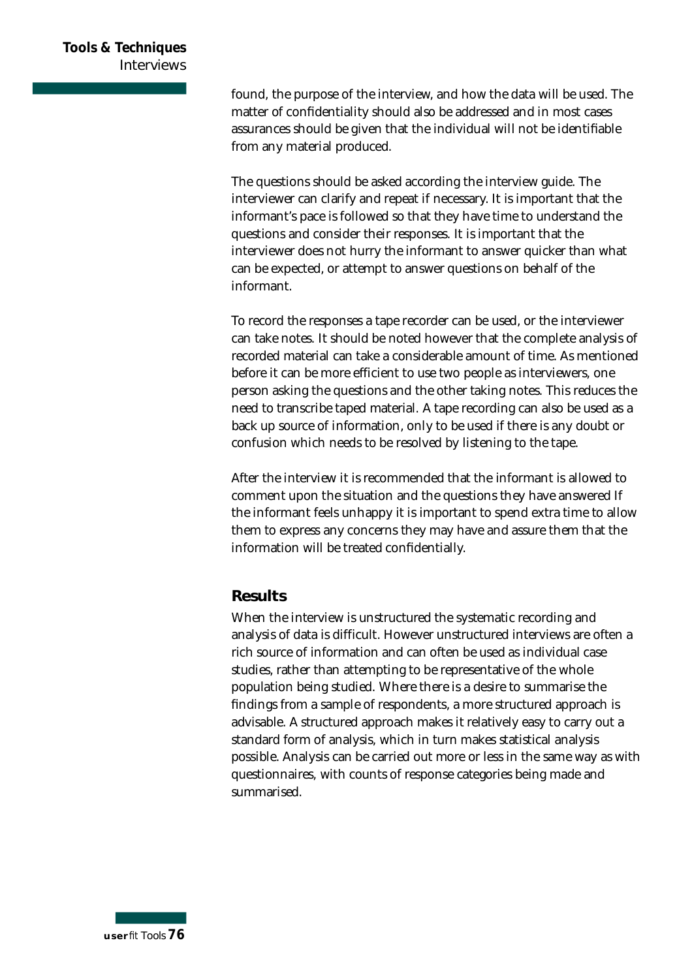found, the purpose of the interview, and how the data will be used. The matter of confidentiality should also be addressed and in most cases assurances should be given that the individual will not be identifiable from any material produced.

The questions should be asked according the interview guide. The interviewer can clarify and repeat if necessary. It is important that the informant's pace is followed so that they have time to understand the questions and consider their responses. It is important that the interviewer does not hurry the informant to answer quicker than what can be expected, or attempt to answer questions on behalf of the informant.

To record the responses a tape recorder can be used, or the interviewer can take notes. It should be noted however that the complete analysis of recorded material can take a considerable amount of time. As mentioned before it can be more efficient to use two people as interviewers, one person asking the questions and the other taking notes. This reduces the need to transcribe taped material. A tape recording can also be used as a back up source of information, only to be used if there is any doubt or confusion which needs to be resolved by listening to the tape.

After the interview it is recommended that the informant is allowed to comment upon the situation and the questions they have answered If the informant feels unhappy it is important to spend extra time to allow them to express any concerns they may have and assure them that the information will be treated confidentially.

#### **Results**

When the interview is unstructured the systematic recording and analysis of data is difficult. However unstructured interviews are often a rich source of information and can often be used as individual case studies, rather than attempting to be representative of the whole population being studied. Where there is a desire to summarise the findings from a sample of respondents, a more structured approach is advisable. A structured approach makes it relatively easy to carry out a standard form of analysis, which in turn makes statistical analysis possible. Analysis can be carried out more or less in the same way as with questionnaires, with counts of response categories being made and summarised.

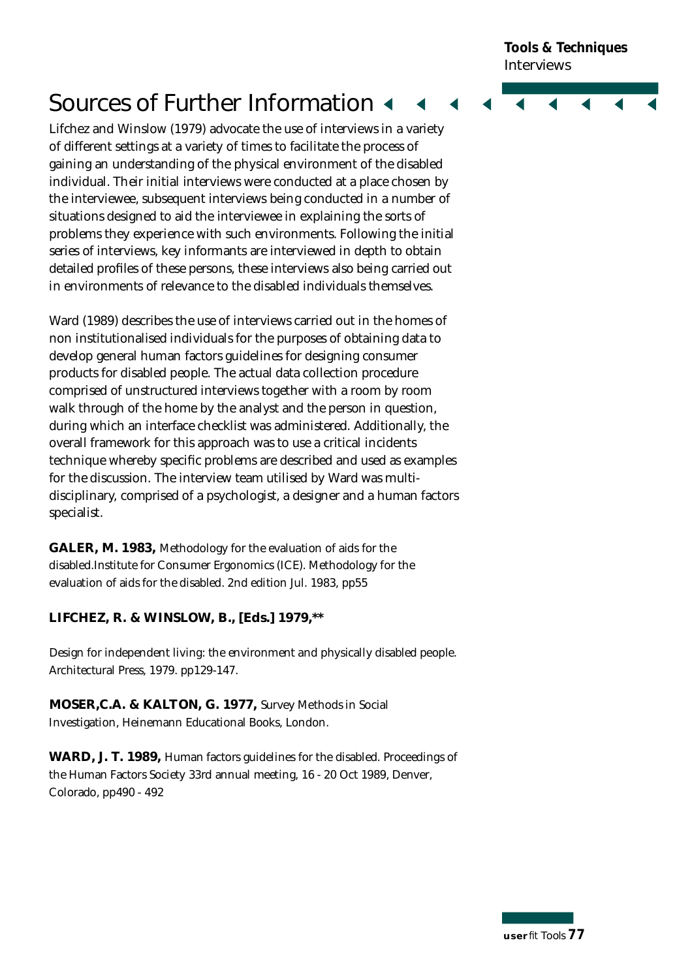**Tools & Techniques Interviews** 

# **Sources of Further Information 4**

Lifchez and Winslow (1979) advocate the use of interviews in a variety of different settings at a variety of times to facilitate the process of gaining an understanding of the physical environment of the disabled individual. Their initial interviews were conducted at a place chosen by the interviewee, subsequent interviews being conducted in a number of situations designed to aid the interviewee in explaining the sorts of p roblems they experience with such environments. Following the initial series of interviews, key informants are interviewed in depth to obtain detailed profiles of these persons, these interviews also being carried out in environments of relevance to the disabled individuals themselves.

Ward (1989) describes the use of interviews carried out in the homes of non institutionalised individuals for the purposes of obtaining data to develop general human factors guidelines for designing consumer products for disabled people. The actual data collection procedure comprised of unstructured interviews together with a room by room walk through of the home by the analyst and the person in question, during which an interface checklist was administered. Additionally, the overall framework for this approach was to use a critical incidents technique whereby specific problems are described and used as examples for the discussion. The interview team utilised by Ward was multidisciplinary, comprised of a psychologist, a designer and a human factors specialist.

**GALER, M. 1983,** Methodology for the evaluation of aids for the disabled.Institute for Consumer Ergonomics (ICE). Methodology for the evaluation of aids for the disabled. 2nd edition Jul. 1983, pp55

#### **LIFCHEZ, R. & WINSLOW, B., [Eds.] 1979,\*\***

Design for independent living: the environment and physically disabled people. Architectural Press, 1979. pp129-147.

**MOSER,C.A. & KALTON, G. 1977,** Survey Methods in Social Investigation, Heinemann Educational Books, London.

**WARD, J. T. 1989,** Human factors guidelines for the disabled. Proceedings of the Human Factors Society 33rd annual meeting, 16 - 20 Oct 1989, Denver, Colorado, pp490 - 492